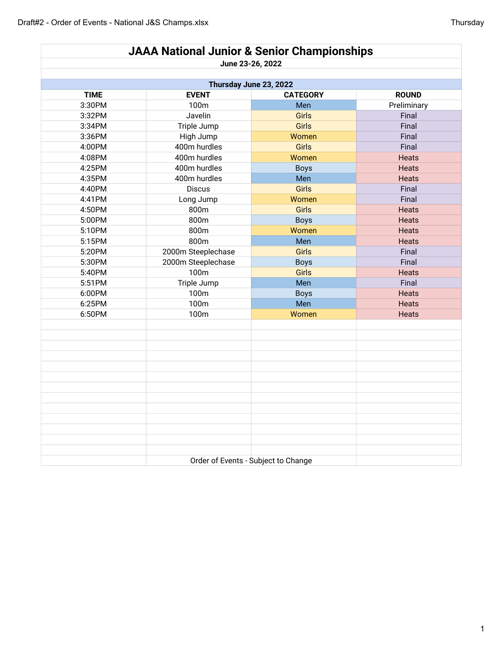| <b>JAAA National Junior &amp; Senior Championships</b> |                    |                  |              |  |  |  |  |
|--------------------------------------------------------|--------------------|------------------|--------------|--|--|--|--|
|                                                        |                    | June 23-26, 2022 |              |  |  |  |  |
|                                                        |                    |                  |              |  |  |  |  |
| Thursday June 23, 2022                                 |                    |                  |              |  |  |  |  |
| <b>TIME</b>                                            | <b>EVENT</b>       | <b>CATEGORY</b>  | <b>ROUND</b> |  |  |  |  |
| 3:30PM                                                 | 100m               | Men              | Preliminary  |  |  |  |  |
| 3:32PM                                                 | Javelin            | Girls            | Final        |  |  |  |  |
| 3:34PM                                                 | Triple Jump        | Girls            | Final        |  |  |  |  |
| 3:36PM                                                 | High Jump          | Women            | Final        |  |  |  |  |
| 4:00PM                                                 | 400m hurdles       | <b>Girls</b>     | Final        |  |  |  |  |
| 4:08PM                                                 | 400m hurdles       | Women            | <b>Heats</b> |  |  |  |  |
| 4:25PM                                                 | 400m hurdles       | <b>Boys</b>      | <b>Heats</b> |  |  |  |  |
| 4:35PM                                                 | 400m hurdles       | Men              | <b>Heats</b> |  |  |  |  |
| 4:40PM                                                 | <b>Discus</b>      | <b>Girls</b>     | Final        |  |  |  |  |
| 4:41PM                                                 | Long Jump          | Women            | Final        |  |  |  |  |
| 4:50PM                                                 | 800m               | <b>Girls</b>     | <b>Heats</b> |  |  |  |  |
| 5:00PM                                                 | 800m               | <b>Boys</b>      | Heats        |  |  |  |  |
| 5:10PM                                                 | 800m               | Women            | Heats        |  |  |  |  |
| 5:15PM                                                 | 800m               | Men              | <b>Heats</b> |  |  |  |  |
| 5:20PM                                                 | 2000m Steeplechase | <b>Girls</b>     | Final        |  |  |  |  |
| 5:30PM                                                 | 2000m Steeplechase | <b>Boys</b>      | Final        |  |  |  |  |
| 5:40PM                                                 | 100m               | Girls            | Heats        |  |  |  |  |
| 5:51PM                                                 | Triple Jump        | Men              | Final        |  |  |  |  |
| 6:00PM                                                 | 100m               | <b>Boys</b>      | <b>Heats</b> |  |  |  |  |
| 6:25PM                                                 | 100m               | Men              | Heats        |  |  |  |  |
| 6:50PM                                                 | 100m               | Women            | Heats        |  |  |  |  |
|                                                        |                    |                  |              |  |  |  |  |
|                                                        |                    |                  |              |  |  |  |  |
|                                                        |                    |                  |              |  |  |  |  |
|                                                        |                    |                  |              |  |  |  |  |
|                                                        |                    |                  |              |  |  |  |  |
|                                                        |                    |                  |              |  |  |  |  |
|                                                        |                    |                  |              |  |  |  |  |
|                                                        |                    |                  |              |  |  |  |  |
|                                                        |                    |                  |              |  |  |  |  |
|                                                        |                    |                  |              |  |  |  |  |
|                                                        |                    |                  |              |  |  |  |  |
|                                                        |                    |                  |              |  |  |  |  |
|                                                        |                    |                  |              |  |  |  |  |
| Order of Events - Subject to Change                    |                    |                  |              |  |  |  |  |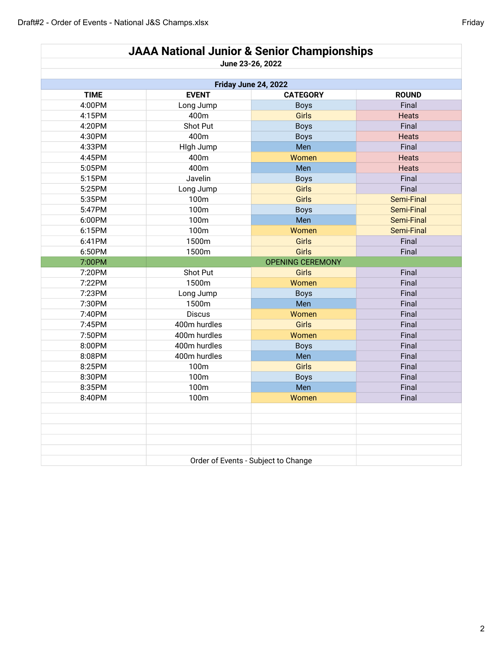|                      | <b>JAAA National Junior &amp; Senior Championships</b> |                         |              |  |  |
|----------------------|--------------------------------------------------------|-------------------------|--------------|--|--|
|                      | June 23-26, 2022                                       |                         |              |  |  |
|                      |                                                        |                         |              |  |  |
| Friday June 24, 2022 |                                                        |                         |              |  |  |
| <b>TIME</b>          | <b>EVENT</b>                                           | <b>CATEGORY</b>         | <b>ROUND</b> |  |  |
| 4:00PM               | Long Jump                                              | <b>Boys</b>             | Final        |  |  |
| 4:15PM               | 400m                                                   | <b>Girls</b>            | <b>Heats</b> |  |  |
| 4:20PM               | Shot Put                                               | <b>Boys</b>             | Final        |  |  |
| 4:30PM               | 400m                                                   | <b>Boys</b>             | Heats        |  |  |
| 4:33PM               | High Jump                                              | Men                     | Final        |  |  |
| 4:45PM               | 400m                                                   | Women                   | <b>Heats</b> |  |  |
| 5:05PM               | 400m                                                   | Men                     | <b>Heats</b> |  |  |
| 5:15PM               | Javelin                                                | <b>Boys</b>             | Final        |  |  |
| 5:25PM               | Long Jump                                              | <b>Girls</b>            | Final        |  |  |
| 5:35PM               | 100m                                                   | <b>Girls</b>            | Semi-Final   |  |  |
| 5:47PM               | 100m                                                   | <b>Boys</b>             | Semi-Final   |  |  |
| 6:00PM               | 100m                                                   | Men                     | Semi-Final   |  |  |
| 6:15PM               | 100m                                                   | Women                   | Semi-Final   |  |  |
| 6:41PM               | 1500m                                                  | <b>Girls</b>            | Final        |  |  |
| 6:50PM               | 1500m                                                  | Girls                   | Final        |  |  |
| 7:00PM               |                                                        | <b>OPENING CEREMONY</b> |              |  |  |
| 7:20PM               | Shot Put                                               | Girls                   | Final        |  |  |
| 7:22PM               | 1500m                                                  | Women                   | Final        |  |  |
| 7:23PM               | Long Jump                                              | <b>Boys</b>             | Final        |  |  |
| 7:30PM               | 1500m                                                  | Men                     | Final        |  |  |
| 7:40PM               | <b>Discus</b>                                          | Women                   | Final        |  |  |
| 7:45PM               | 400m hurdles                                           | <b>Girls</b>            | Final        |  |  |
| 7:50PM               | 400m hurdles                                           | Women                   | Final        |  |  |
| 8:00PM               | 400m hurdles                                           | <b>Boys</b>             | Final        |  |  |
| 8:08PM               | 400m hurdles                                           | Men                     | Final        |  |  |
| 8:25PM               | 100m                                                   | Girls                   | Final        |  |  |
| 8:30PM               | 100m                                                   | <b>Boys</b>             | Final        |  |  |
| 8:35PM               | 100m                                                   | Men                     | Final        |  |  |
| 8:40PM               | 100m                                                   | Women                   | Final        |  |  |
|                      |                                                        |                         |              |  |  |
|                      |                                                        |                         |              |  |  |
|                      |                                                        |                         |              |  |  |
|                      |                                                        |                         |              |  |  |
|                      |                                                        |                         |              |  |  |
|                      |                                                        |                         |              |  |  |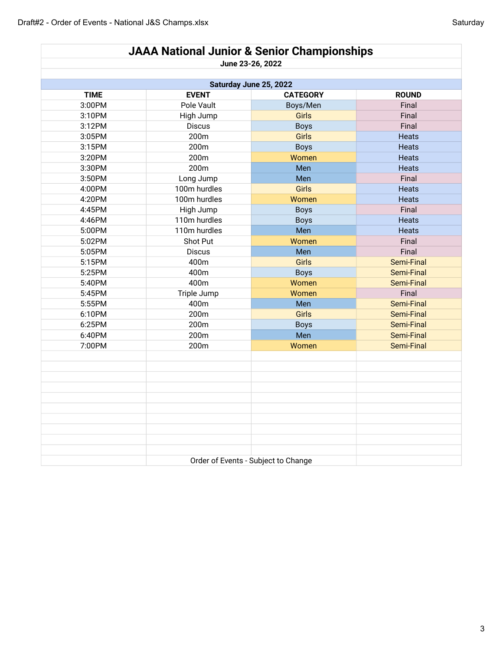| <b>JAAA National Junior &amp; Senior Championships</b> |                                     |                 |              |  |  |  |
|--------------------------------------------------------|-------------------------------------|-----------------|--------------|--|--|--|
|                                                        | June 23-26, 2022                    |                 |              |  |  |  |
| Saturday June 25, 2022                                 |                                     |                 |              |  |  |  |
| <b>TIME</b>                                            | <b>EVENT</b>                        | <b>CATEGORY</b> | <b>ROUND</b> |  |  |  |
| 3:00PM                                                 | Pole Vault                          | Boys/Men        | Final        |  |  |  |
| 3:10PM                                                 | High Jump                           | Girls           | Final        |  |  |  |
| 3:12PM                                                 | <b>Discus</b>                       | <b>Boys</b>     | Final        |  |  |  |
| 3:05PM                                                 | 200m                                | Girls           | <b>Heats</b> |  |  |  |
| 3:15PM                                                 | 200m                                | <b>Boys</b>     | <b>Heats</b> |  |  |  |
| 3:20PM                                                 | 200m                                | Women           | Heats        |  |  |  |
| 3:30PM                                                 | 200m                                | Men             | Heats        |  |  |  |
| 3:50PM                                                 | Long Jump                           | Men             | Final        |  |  |  |
| 4:00PM                                                 | 100m hurdles                        | Girls           | <b>Heats</b> |  |  |  |
| 4:20PM                                                 | 100m hurdles                        | Women           | <b>Heats</b> |  |  |  |
| 4:45PM                                                 | High Jump                           | <b>Boys</b>     | Final        |  |  |  |
| 4:46PM                                                 | 110m hurdles                        | <b>Boys</b>     | <b>Heats</b> |  |  |  |
| 5:00PM                                                 | 110m hurdles                        | Men             | Heats        |  |  |  |
| 5:02PM                                                 | Shot Put                            | Women           | Final        |  |  |  |
| 5:05PM                                                 | <b>Discus</b>                       | Men             | Final        |  |  |  |
| 5:15PM                                                 | 400m                                | Girls           | Semi-Final   |  |  |  |
| 5:25PM                                                 | 400m                                | <b>Boys</b>     | Semi-Final   |  |  |  |
| 5:40PM                                                 | 400m                                | Women           | Semi-Final   |  |  |  |
| 5:45PM                                                 | Triple Jump                         | Women           | Final        |  |  |  |
| 5:55PM                                                 | 400m                                | Men             | Semi-Final   |  |  |  |
| 6:10PM                                                 | 200m                                | <b>Girls</b>    | Semi-Final   |  |  |  |
| 6:25PM                                                 | 200m                                | <b>Boys</b>     | Semi-Final   |  |  |  |
| 6:40PM                                                 | 200m                                | Men             | Semi-Final   |  |  |  |
| 7:00PM                                                 | 200m                                | Women           | Semi-Final   |  |  |  |
|                                                        |                                     |                 |              |  |  |  |
|                                                        |                                     |                 |              |  |  |  |
|                                                        |                                     |                 |              |  |  |  |
|                                                        |                                     |                 |              |  |  |  |
|                                                        |                                     |                 |              |  |  |  |
|                                                        |                                     |                 |              |  |  |  |
|                                                        |                                     |                 |              |  |  |  |
|                                                        |                                     |                 |              |  |  |  |
|                                                        |                                     |                 |              |  |  |  |
|                                                        |                                     |                 |              |  |  |  |
|                                                        | Order of Events - Subject to Change |                 |              |  |  |  |